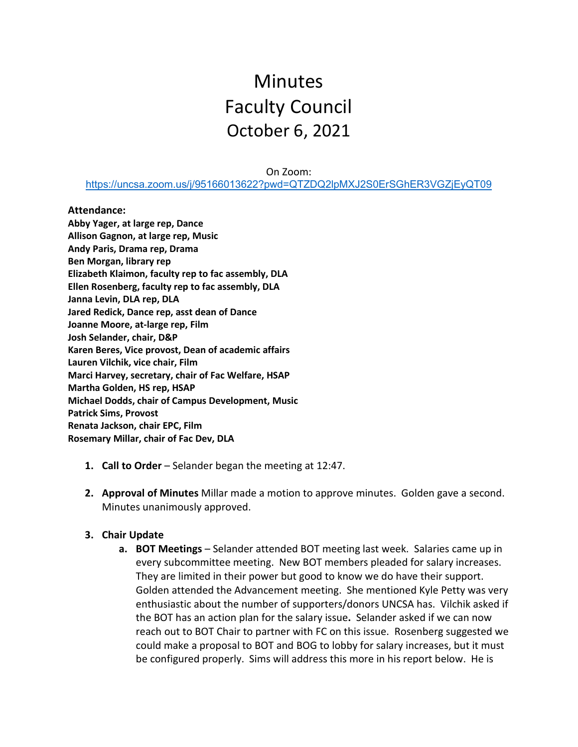# **Minutes** Faculty Council October 6, 2021

On Zoom:

<https://uncsa.zoom.us/j/95166013622?pwd=QTZDQ2lpMXJ2S0ErSGhER3VGZjEyQT09>

#### **Attendance:**

**Abby Yager, at large rep, Dance Allison Gagnon, at large rep, Music Andy Paris, Drama rep, Drama Ben Morgan, library rep Elizabeth Klaimon, faculty rep to fac assembly, DLA Ellen Rosenberg, faculty rep to fac assembly, DLA Janna Levin, DLA rep, DLA Jared Redick, Dance rep, asst dean of Dance Joanne Moore, at-large rep, Film Josh Selander, chair, D&P Karen Beres, Vice provost, Dean of academic affairs Lauren Vilchik, vice chair, Film Marci Harvey, secretary, chair of Fac Welfare, HSAP Martha Golden, HS rep, HSAP Michael Dodds, chair of Campus Development, Music Patrick Sims, Provost Renata Jackson, chair EPC, Film Rosemary Millar, chair of Fac Dev, DLA**

- **1. Call to Order** Selander began the meeting at 12:47.
- **2. Approval of Minutes** Millar made a motion to approve minutes. Golden gave a second. Minutes unanimously approved.

### **3. Chair Update**

**a. BOT Meetings** – Selander attended BOT meeting last week. Salaries came up in every subcommittee meeting. New BOT members pleaded for salary increases. They are limited in their power but good to know we do have their support. Golden attended the Advancement meeting. She mentioned Kyle Petty was very enthusiastic about the number of supporters/donors UNCSA has. Vilchik asked if the BOT has an action plan for the salary issue**.** Selander asked if we can now reach out to BOT Chair to partner with FC on this issue. Rosenberg suggested we could make a proposal to BOT and BOG to lobby for salary increases, but it must be configured properly. Sims will address this more in his report below. He is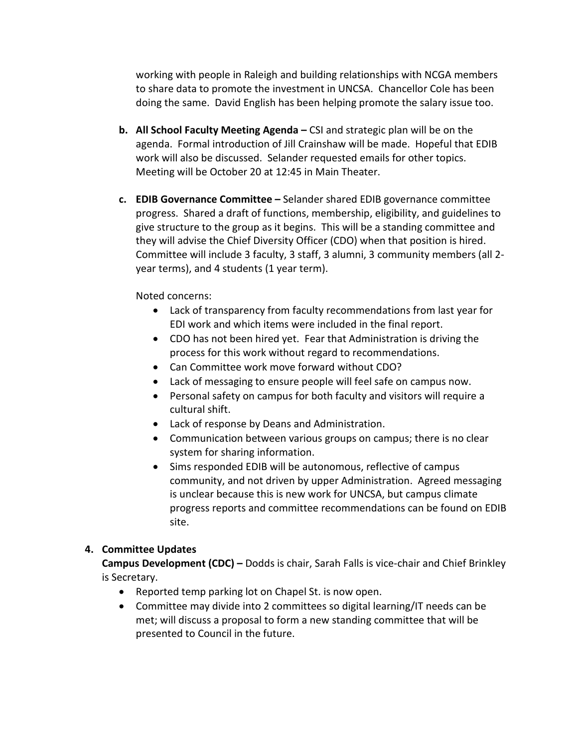working with people in Raleigh and building relationships with NCGA members to share data to promote the investment in UNCSA. Chancellor Cole has been doing the same. David English has been helping promote the salary issue too.

- **b. All School Faculty Meeting Agenda –** CSI and strategic plan will be on the agenda. Formal introduction of Jill Crainshaw will be made. Hopeful that EDIB work will also be discussed. Selander requested emails for other topics. Meeting will be October 20 at 12:45 in Main Theater.
- **c. EDIB Governance Committee –** Selander shared EDIB governance committee progress. Shared a draft of functions, membership, eligibility, and guidelines to give structure to the group as it begins. This will be a standing committee and they will advise the Chief Diversity Officer (CDO) when that position is hired. Committee will include 3 faculty, 3 staff, 3 alumni, 3 community members (all 2 year terms), and 4 students (1 year term).

Noted concerns:

- Lack of transparency from faculty recommendations from last year for EDI work and which items were included in the final report.
- CDO has not been hired yet. Fear that Administration is driving the process for this work without regard to recommendations.
- Can Committee work move forward without CDO?
- Lack of messaging to ensure people will feel safe on campus now.
- Personal safety on campus for both faculty and visitors will require a cultural shift.
- Lack of response by Deans and Administration.
- Communication between various groups on campus; there is no clear system for sharing information.
- Sims responded EDIB will be autonomous, reflective of campus community, and not driven by upper Administration. Agreed messaging is unclear because this is new work for UNCSA, but campus climate progress reports and committee recommendations can be found on EDIB site.

## **4. Committee Updates**

**Campus Development (CDC) –** Dodds is chair, Sarah Falls is vice-chair and Chief Brinkley is Secretary.

- Reported temp parking lot on Chapel St. is now open.
- Committee may divide into 2 committees so digital learning/IT needs can be met; will discuss a proposal to form a new standing committee that will be presented to Council in the future.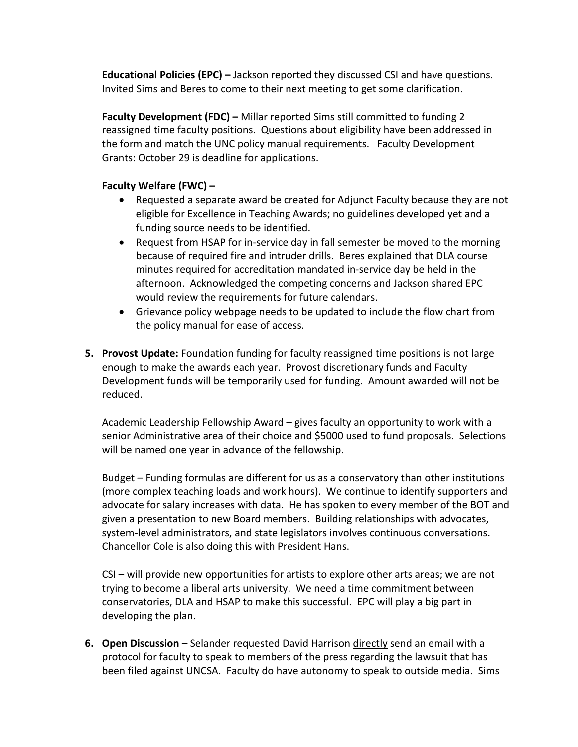**Educational Policies (EPC) –** Jackson reported they discussed CSI and have questions. Invited Sims and Beres to come to their next meeting to get some clarification.

**Faculty Development (FDC) –** Millar reported Sims still committed to funding 2 reassigned time faculty positions. Questions about eligibility have been addressed in the form and match the UNC policy manual requirements. Faculty Development Grants: October 29 is deadline for applications.

## **Faculty Welfare (FWC) –**

- Requested a separate award be created for Adjunct Faculty because they are not eligible for Excellence in Teaching Awards; no guidelines developed yet and a funding source needs to be identified.
- Request from HSAP for in-service day in fall semester be moved to the morning because of required fire and intruder drills. Beres explained that DLA course minutes required for accreditation mandated in-service day be held in the afternoon. Acknowledged the competing concerns and Jackson shared EPC would review the requirements for future calendars.
- Grievance policy webpage needs to be updated to include the flow chart from the policy manual for ease of access.
- **5. Provost Update:** Foundation funding for faculty reassigned time positions is not large enough to make the awards each year. Provost discretionary funds and Faculty Development funds will be temporarily used for funding. Amount awarded will not be reduced.

Academic Leadership Fellowship Award – gives faculty an opportunity to work with a senior Administrative area of their choice and \$5000 used to fund proposals. Selections will be named one year in advance of the fellowship.

Budget – Funding formulas are different for us as a conservatory than other institutions (more complex teaching loads and work hours). We continue to identify supporters and advocate for salary increases with data. He has spoken to every member of the BOT and given a presentation to new Board members. Building relationships with advocates, system-level administrators, and state legislators involves continuous conversations. Chancellor Cole is also doing this with President Hans.

CSI – will provide new opportunities for artists to explore other arts areas; we are not trying to become a liberal arts university. We need a time commitment between conservatories, DLA and HSAP to make this successful. EPC will play a big part in developing the plan.

**6. Open Discussion –** Selander requested David Harrison directly send an email with a protocol for faculty to speak to members of the press regarding the lawsuit that has been filed against UNCSA. Faculty do have autonomy to speak to outside media. Sims